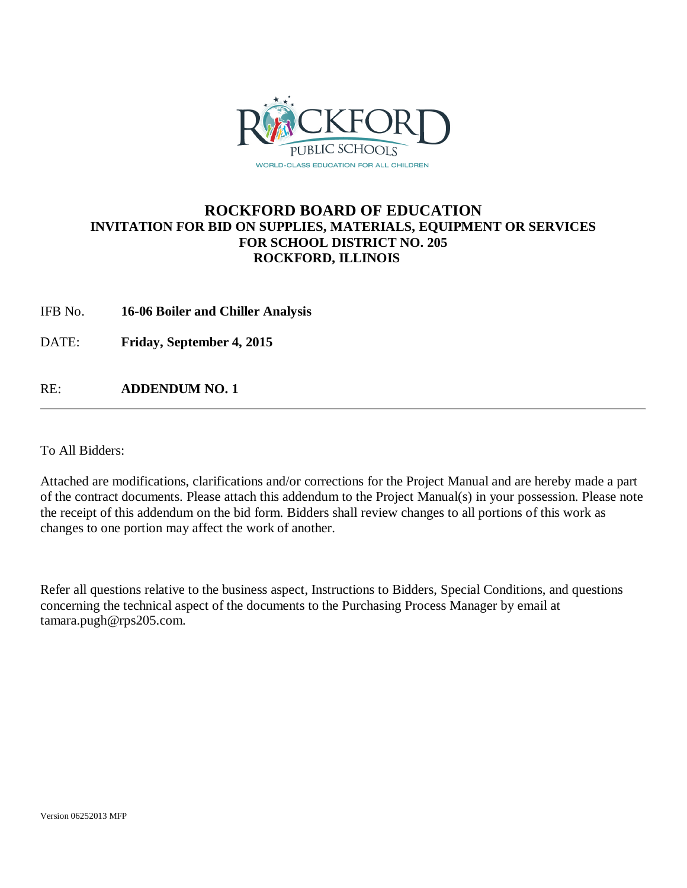

### **ROCKFORD BOARD OF EDUCATION INVITATION FOR BID ON SUPPLIES, MATERIALS, EQUIPMENT OR SERVICES FOR SCHOOL DISTRICT NO. 205 ROCKFORD, ILLINOIS**

IFB No. **16-06 Boiler and Chiller Analysis**

DATE: **Friday, September 4, 2015**

RE: **ADDENDUM NO. 1**

To All Bidders:

Attached are modifications, clarifications and/or corrections for the Project Manual and are hereby made a part of the contract documents. Please attach this addendum to the Project Manual(s) in your possession. Please note the receipt of this addendum on the bid form. Bidders shall review changes to all portions of this work as changes to one portion may affect the work of another.

Refer all questions relative to the business aspect, Instructions to Bidders, Special Conditions, and questions concerning the technical aspect of the documents to the Purchasing Process Manager by email at tamara.pugh@rps205.com.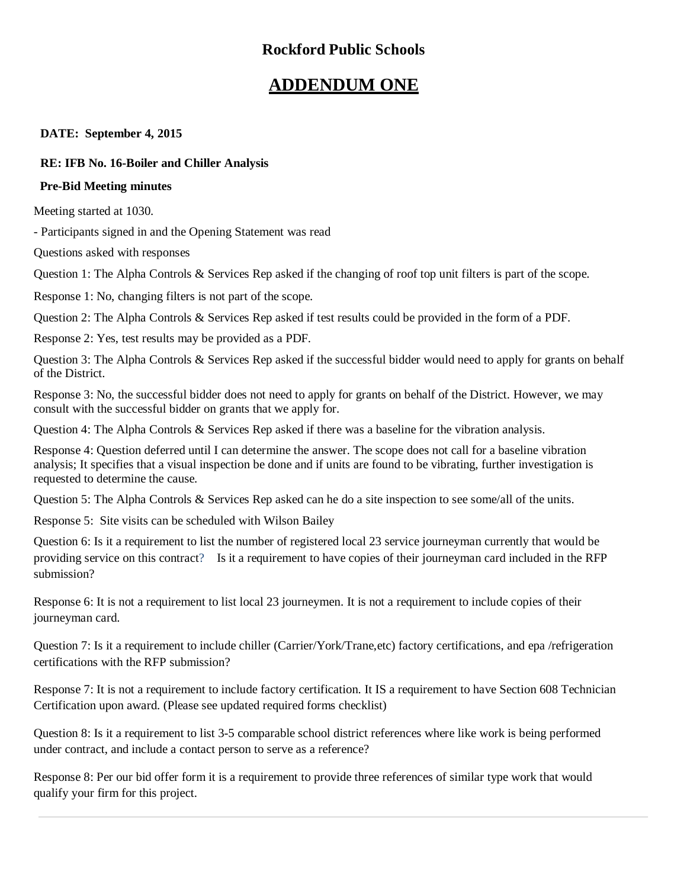### **Rockford Public Schools**

### **ADDENDUM ONE**

### **DATE: September 4, 2015**

### **RE: IFB No. 16-Boiler and Chiller Analysis**

### **Pre-Bid Meeting minutes**

Meeting started at 1030.

- Participants signed in and the Opening Statement was read

Questions asked with responses

Question 1: The Alpha Controls & Services Rep asked if the changing of roof top unit filters is part of the scope.

Response 1: No, changing filters is not part of the scope.

Question 2: The Alpha Controls & Services Rep asked if test results could be provided in the form of a PDF.

Response 2: Yes, test results may be provided as a PDF.

Question 3: The Alpha Controls & Services Rep asked if the successful bidder would need to apply for grants on behalf of the District.

Response 3: No, the successful bidder does not need to apply for grants on behalf of the District. However, we may consult with the successful bidder on grants that we apply for.

Question 4: The Alpha Controls & Services Rep asked if there was a baseline for the vibration analysis.

Response 4: Question deferred until I can determine the answer. The scope does not call for a baseline vibration analysis; It specifies that a visual inspection be done and if units are found to be vibrating, further investigation is requested to determine the cause.

Question 5: The Alpha Controls & Services Rep asked can he do a site inspection to see some/all of the units.

Response 5: Site visits can be scheduled with Wilson Bailey

Question 6: Is it a requirement to list the number of registered local 23 service journeyman currently that would be providing service on this contract? Is it a requirement to have copies of their journeyman card included in the RFP submission?

Response 6: It is not a requirement to list local 23 journeymen. It is not a requirement to include copies of their journeyman card.

Question 7: Is it a requirement to include chiller (Carrier/York/Trane,etc) factory certifications, and epa /refrigeration certifications with the RFP submission?

Response 7: It is not a requirement to include factory certification. It IS a requirement to have Section 608 Technician Certification upon award. (Please see updated required forms checklist)

Question 8: Is it a requirement to list 3-5 comparable school district references where like work is being performed under contract, and include a contact person to serve as a reference?

Response 8: Per our bid offer form it is a requirement to provide three references of similar type work that would qualify your firm for this project.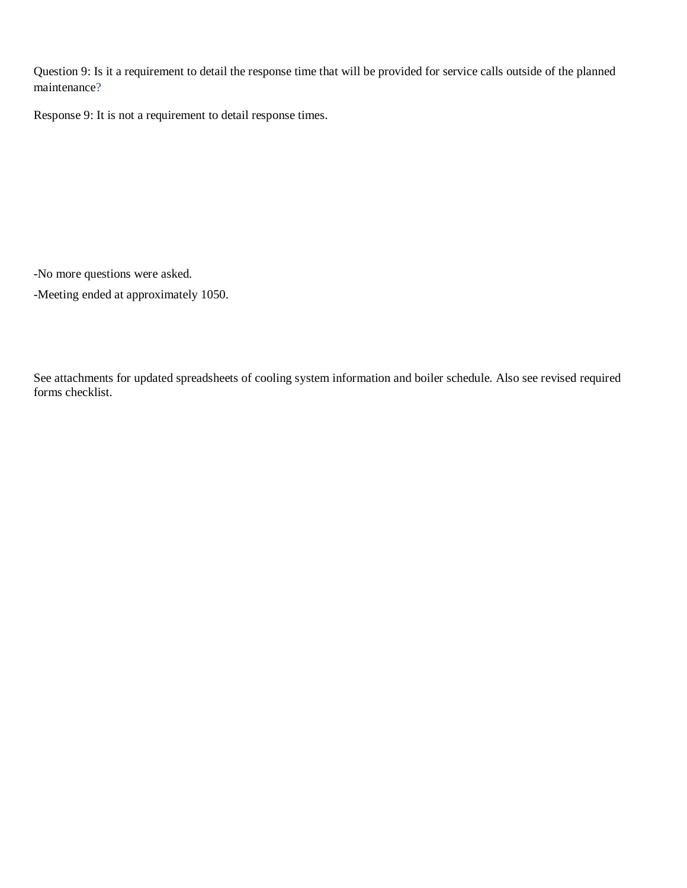Question 9: Is it a requirement to detail the response time that will be provided for service calls outside of the planned maintenance?

Response 9: It is not a requirement to detail response times.

-No more questions were asked.

-Meeting ended at approximately 1050.

See attachments for updated spreadsheets of cooling system information and boiler schedule. Also see revised required forms checklist.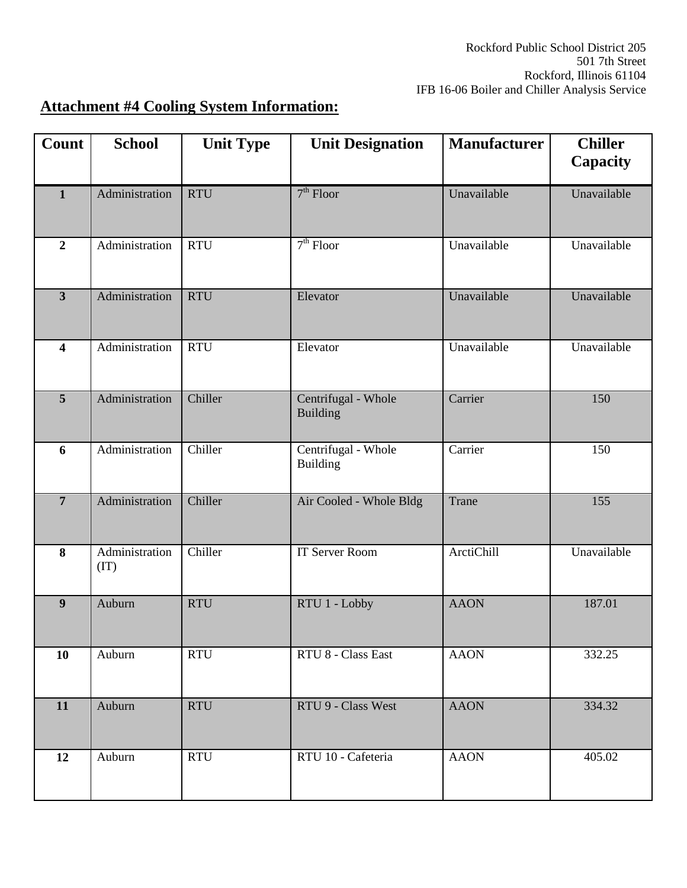## **Attachment #4 Cooling System Information:**

| Count                   | <b>School</b>          | <b>Unit Type</b> | <b>Unit Designation</b>                | <b>Manufacturer</b> | <b>Chiller</b><br>Capacity |
|-------------------------|------------------------|------------------|----------------------------------------|---------------------|----------------------------|
| $\mathbf{1}$            | Administration         | <b>RTU</b>       | $7th$ Floor                            | Unavailable         | Unavailable                |
| $\overline{2}$          | Administration         | <b>RTU</b>       | $7th$ Floor                            | Unavailable         | Unavailable                |
| $\overline{\mathbf{3}}$ | Administration         | <b>RTU</b>       | Elevator                               | Unavailable         | Unavailable                |
| 4                       | Administration         | <b>RTU</b>       | Elevator                               | Unavailable         | Unavailable                |
| 5                       | Administration         | Chiller          | Centrifugal - Whole<br><b>Building</b> | Carrier             | 150                        |
| 6                       | Administration         | Chiller          | Centrifugal - Whole<br><b>Building</b> | Carrier             | 150                        |
| $\overline{7}$          | Administration         | Chiller          | Air Cooled - Whole Bldg                | Trane               | 155                        |
| 8                       | Administration<br>(TT) | Chiller          | <b>IT Server Room</b>                  | <b>ArctiChill</b>   | Unavailable                |
| 9                       | Auburn                 | <b>RTU</b>       | RTU 1 - Lobby                          | <b>AAON</b>         | 187.01                     |
| 10                      | Auburn                 | <b>RTU</b>       | RTU 8 - Class East                     | <b>AAON</b>         | 332.25                     |
| 11                      | Auburn                 | <b>RTU</b>       | RTU 9 - Class West                     | <b>AAON</b>         | 334.32                     |
| 12                      | Auburn                 | <b>RTU</b>       | RTU 10 - Cafeteria                     | <b>AAON</b>         | 405.02                     |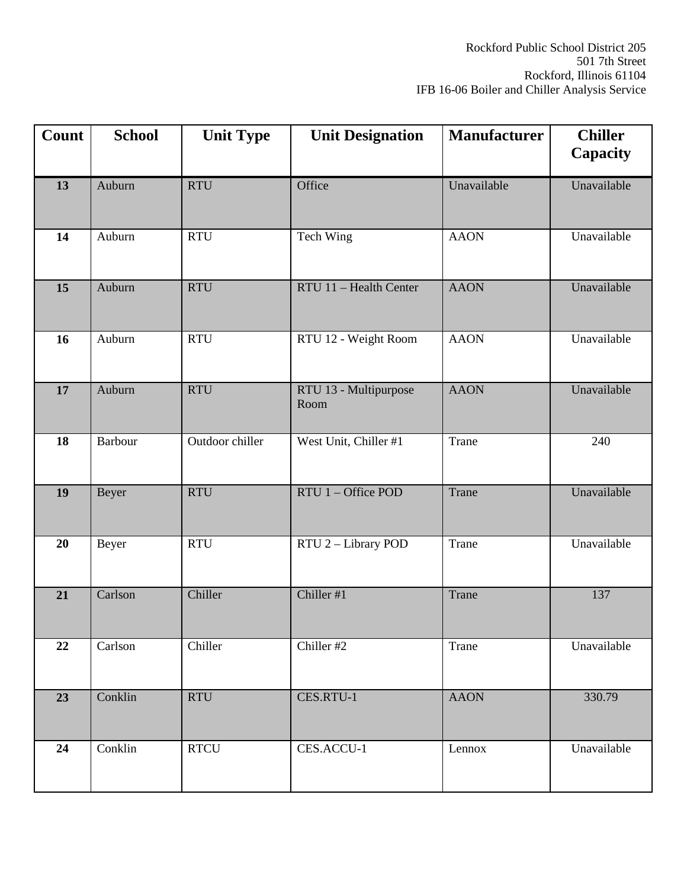| Count | <b>School</b>  | <b>Unit Type</b> | <b>Unit Designation</b>       | <b>Manufacturer</b> | <b>Chiller</b><br>Capacity |
|-------|----------------|------------------|-------------------------------|---------------------|----------------------------|
| 13    | Auburn         | <b>RTU</b>       | Office                        | Unavailable         | Unavailable                |
| 14    | Auburn         | <b>RTU</b>       | <b>Tech Wing</b>              | <b>AAON</b>         | Unavailable                |
| 15    | Auburn         | <b>RTU</b>       | RTU 11 - Health Center        | <b>AAON</b>         | Unavailable                |
| 16    | Auburn         | <b>RTU</b>       | RTU 12 - Weight Room          | <b>AAON</b>         | Unavailable                |
| 17    | Auburn         | <b>RTU</b>       | RTU 13 - Multipurpose<br>Room | <b>AAON</b>         | Unavailable                |
| 18    | <b>Barbour</b> | Outdoor chiller  | West Unit, Chiller #1         | Trane               | 240                        |
| 19    | Beyer          | <b>RTU</b>       | RTU 1 - Office POD            | Trane               | Unavailable                |
| 20    | Beyer          | <b>RTU</b>       | RTU 2 - Library POD           | Trane               | Unavailable                |
| 21    | Carlson        | Chiller          | Chiller #1                    | Trane               | 137                        |
| 22    | Carlson        | Chiller          | Chiller #2                    | Trane               | Unavailable                |
| 23    | Conklin        | <b>RTU</b>       | CES.RTU-1                     | <b>AAON</b>         | 330.79                     |
| 24    | Conklin        | <b>RTCU</b>      | CES.ACCU-1                    | Lennox              | Unavailable                |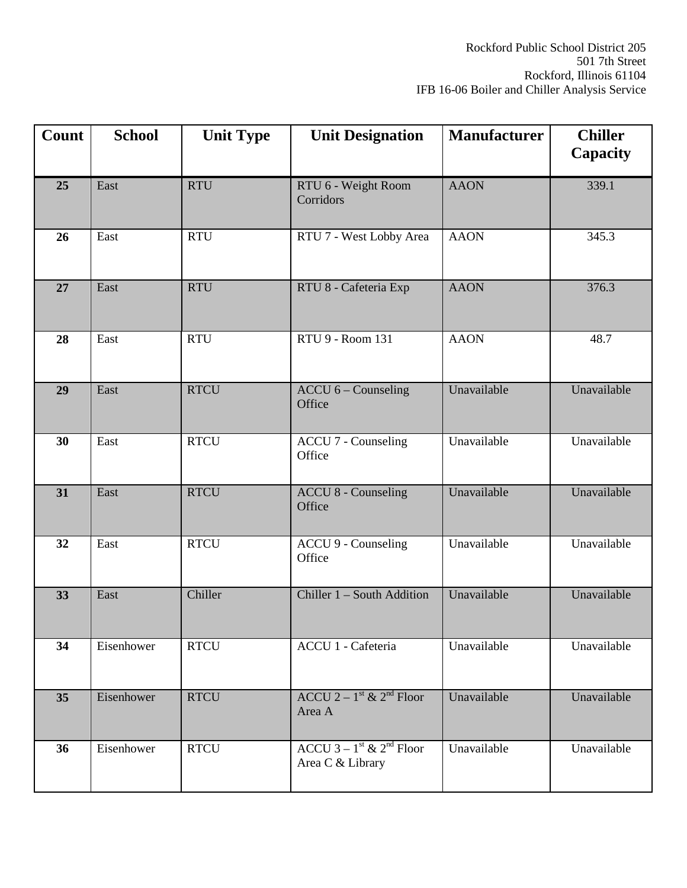| Count | <b>School</b> | <b>Unit Type</b> | <b>Unit Designation</b>                                                    | <b>Manufacturer</b> | <b>Chiller</b><br>Capacity |
|-------|---------------|------------------|----------------------------------------------------------------------------|---------------------|----------------------------|
| 25    | East          | <b>RTU</b>       | RTU 6 - Weight Room<br>Corridors                                           | <b>AAON</b>         | 339.1                      |
| 26    | East          | <b>RTU</b>       | RTU 7 - West Lobby Area                                                    | <b>AAON</b>         | 345.3                      |
| 27    | East          | <b>RTU</b>       | RTU 8 - Cafeteria Exp                                                      | <b>AAON</b>         | 376.3                      |
| 28    | East          | <b>RTU</b>       | RTU 9 - Room 131                                                           | <b>AAON</b>         | 48.7                       |
| 29    | East          | <b>RTCU</b>      | $ACCU$ 6 – Counseling<br>Office                                            | Unavailable         | Unavailable                |
| 30    | East          | <b>RTCU</b>      | <b>ACCU 7 - Counseling</b><br>Office                                       | Unavailable         | Unavailable                |
| 31    | East          | <b>RTCU</b>      | <b>ACCU 8 - Counseling</b><br>Office                                       | Unavailable         | Unavailable                |
| 32    | East          | <b>RTCU</b>      | <b>ACCU 9 - Counseling</b><br>Office                                       | Unavailable         | Unavailable                |
| 33    | East          | Chiller          | Chiller 1 - South Addition                                                 | Unavailable         | Unavailable                |
| 34    | Eisenhower    | <b>RTCU</b>      | ACCU 1 - Cafeteria                                                         | Unavailable         | Unavailable                |
| 35    | Eisenhower    | <b>RTCU</b>      | ACCU 2 – $1^{\text{st}}$ & $2^{\text{nd}}$ Floor<br>Area A                 | Unavailable         | Unavailable                |
| 36    | Eisenhower    | <b>RTCU</b>      | $\overline{ACCU 3 - 1}$ <sup>st</sup> & $2^{nd}$ Floor<br>Area C & Library | Unavailable         | Unavailable                |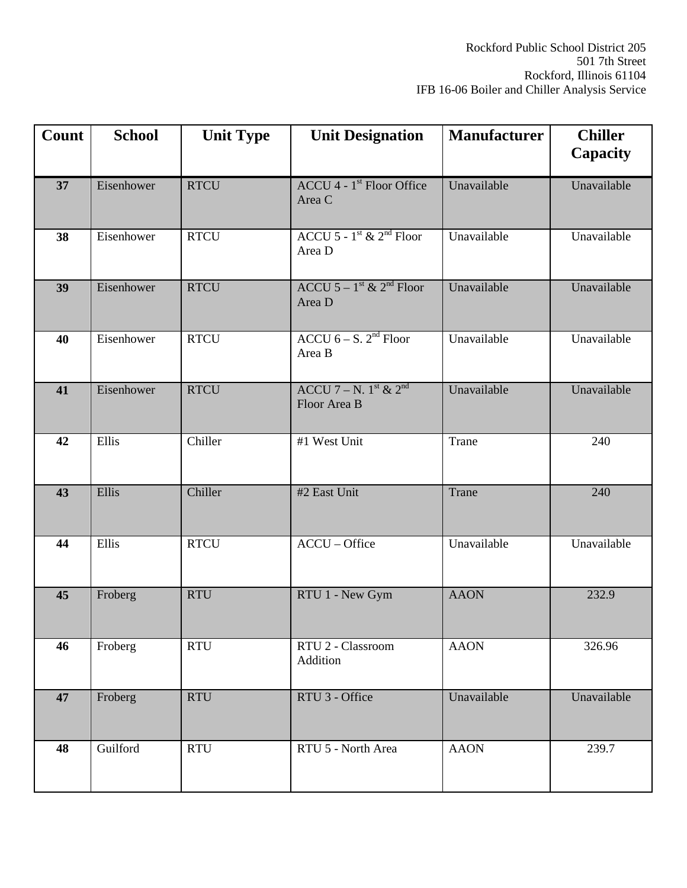| Count | <b>School</b> | <b>Unit Type</b> | <b>Unit Designation</b>                                    | <b>Manufacturer</b> | <b>Chiller</b><br><b>Capacity</b> |
|-------|---------------|------------------|------------------------------------------------------------|---------------------|-----------------------------------|
| 37    | Eisenhower    | <b>RTCU</b>      | $ACCU$ 4 - 1 <sup>st</sup> Floor Office<br>Area C          | Unavailable         | Unavailable                       |
| 38    | Eisenhower    | <b>RTCU</b>      | ACCU 5 - $1st$ & $2nd$ Floor<br>Area D                     | Unavailable         | Unavailable                       |
| 39    | Eisenhower    | <b>RTCU</b>      | ACCU $5-1$ <sup>st</sup> & 2 <sup>nd</sup> Floor<br>Area D | Unavailable         | Unavailable                       |
| 40    | Eisenhower    | <b>RTCU</b>      | ACCU $6 - S$ . 2 <sup>nd</sup> Floor<br>Area B             | Unavailable         | Unavailable                       |
| 41    | Eisenhower    | <b>RTCU</b>      | ACCU 7 – N. $1^{st}$ & $2^{nd}$<br>Floor Area B            | Unavailable         | Unavailable                       |
| 42    | Ellis         | Chiller          | #1 West Unit                                               | Trane               | 240                               |
| 43    | Ellis         | Chiller          | #2 East Unit                                               | Trane               | 240                               |
| 44    | Ellis         | <b>RTCU</b>      | ACCU - Office                                              | Unavailable         | Unavailable                       |
| 45    | Froberg       | <b>RTU</b>       | RTU 1 - New Gym                                            | <b>AAON</b>         | 232.9                             |
| 46    | Froberg       | <b>RTU</b>       | RTU 2 - Classroom<br>Addition                              | <b>AAON</b>         | 326.96                            |
| 47    | Froberg       | <b>RTU</b>       | RTU 3 - Office                                             | Unavailable         | Unavailable                       |
| 48    | Guilford      | <b>RTU</b>       | RTU 5 - North Area                                         | <b>AAON</b>         | 239.7                             |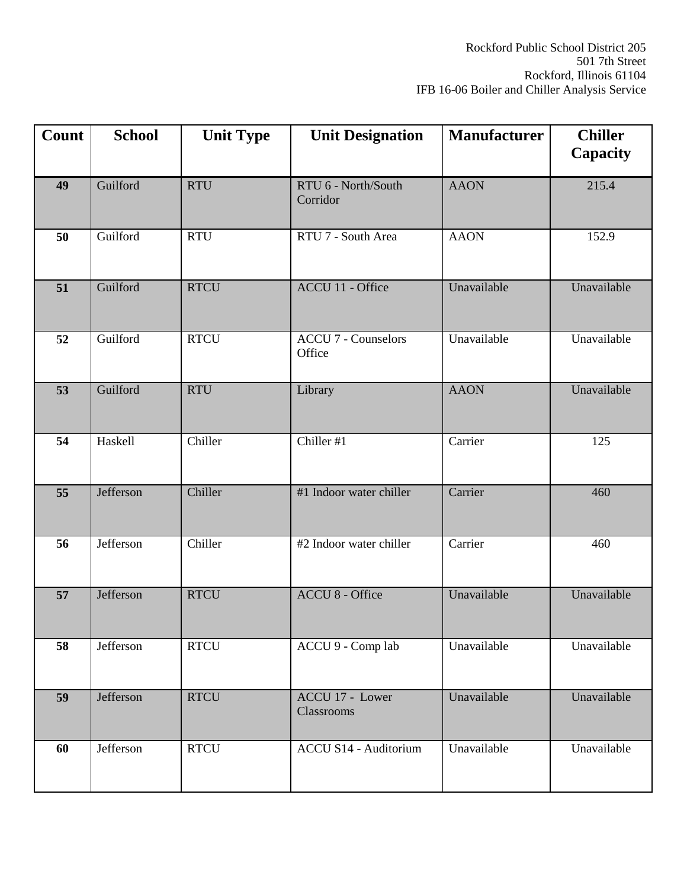| Count           | <b>School</b> | <b>Unit Type</b> | <b>Unit Designation</b>              | <b>Manufacturer</b> | <b>Chiller</b><br>Capacity |
|-----------------|---------------|------------------|--------------------------------------|---------------------|----------------------------|
| 49              | Guilford      | <b>RTU</b>       | RTU 6 - North/South<br>Corridor      | <b>AAON</b>         | 215.4                      |
| 50              | Guilford      | <b>RTU</b>       | RTU 7 - South Area                   | <b>AAON</b>         | 152.9                      |
| 51              | Guilford      | <b>RTCU</b>      | ACCU 11 - Office                     | Unavailable         | Unavailable                |
| 52              | Guilford      | <b>RTCU</b>      | <b>ACCU 7 - Counselors</b><br>Office | Unavailable         | Unavailable                |
| 53              | Guilford      | <b>RTU</b>       | Library                              | <b>AAON</b>         | Unavailable                |
| 54              | Haskell       | Chiller          | Chiller #1                           | Carrier             | 125                        |
| $\overline{55}$ | Jefferson     | Chiller          | #1 Indoor water chiller              | Carrier             | 460                        |
| 56              | Jefferson     | Chiller          | #2 Indoor water chiller              | Carrier             | 460                        |
| 57              | Jefferson     | <b>RTCU</b>      | <b>ACCU 8 - Office</b>               | Unavailable         | Unavailable                |
| 58              | Jefferson     | <b>RTCU</b>      | ACCU 9 - Comp lab                    | Unavailable         | Unavailable                |
| 59              | Jefferson     | <b>RTCU</b>      | ACCU 17 - Lower<br>Classrooms        | Unavailable         | Unavailable                |
| 60              | Jefferson     | <b>RTCU</b>      | <b>ACCU S14 - Auditorium</b>         | Unavailable         | Unavailable                |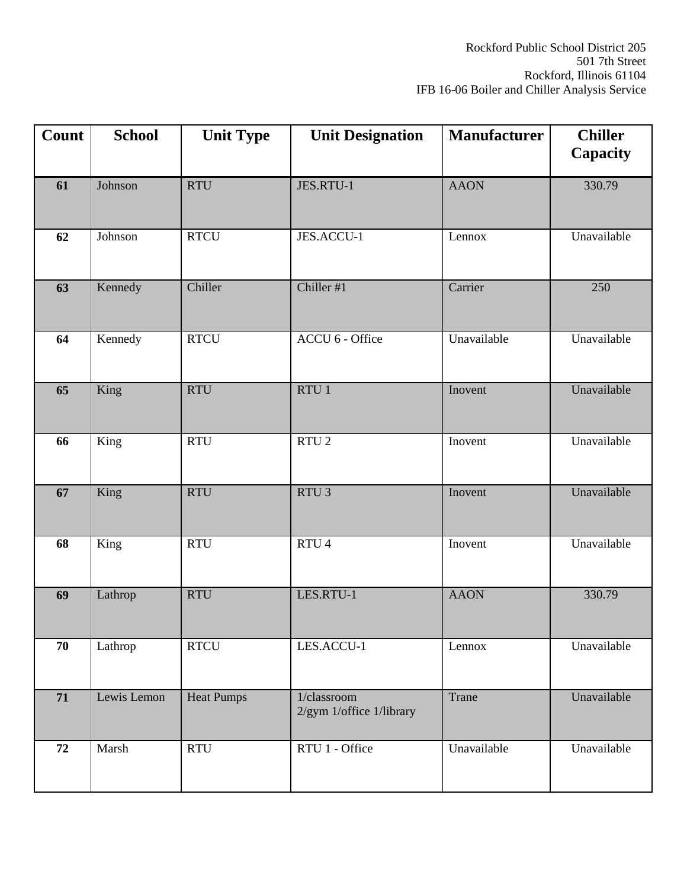| Count | <b>School</b> | <b>Unit Type</b>  | <b>Unit Designation</b>                 | <b>Manufacturer</b> | <b>Chiller</b><br>Capacity |
|-------|---------------|-------------------|-----------------------------------------|---------------------|----------------------------|
| 61    | Johnson       | <b>RTU</b>        | JES.RTU-1                               | <b>AAON</b>         | 330.79                     |
| 62    | Johnson       | <b>RTCU</b>       | JES.ACCU-1                              | Lennox              | Unavailable                |
| 63    | Kennedy       | Chiller           | Chiller #1                              | Carrier             | 250                        |
| 64    | Kennedy       | <b>RTCU</b>       | ACCU 6 - Office                         | Unavailable         | Unavailable                |
| 65    | King          | <b>RTU</b>        | RTU 1                                   | Inovent             | Unavailable                |
| 66    | King          | <b>RTU</b>        | $RTU$ 2                                 | Inovent             | Unavailable                |
| 67    | King          | <b>RTU</b>        | RTU <sub>3</sub>                        | Inovent             | Unavailable                |
| 68    | King          | <b>RTU</b>        | RTU 4                                   | Inovent             | Unavailable                |
| 69    | Lathrop       | <b>RTU</b>        | LES.RTU-1                               | <b>AAON</b>         | 330.79                     |
| 70    | Lathrop       | <b>RTCU</b>       | LES.ACCU-1                              | Lennox              | Unavailable                |
| 71    | Lewis Lemon   | <b>Heat Pumps</b> | 1/classroom<br>2/gym 1/office 1/library | Trane               | Unavailable                |
| 72    | Marsh         | <b>RTU</b>        | RTU 1 - Office                          | Unavailable         | Unavailable                |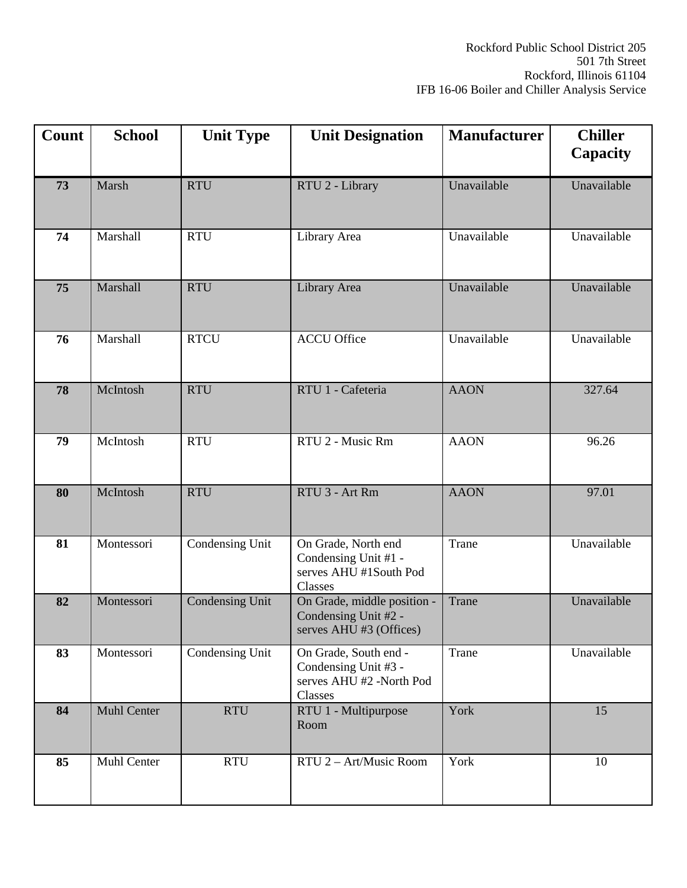| Count | <b>School</b>      | <b>Unit Type</b> | <b>Unit Designation</b>                                                              | <b>Manufacturer</b>       | <b>Chiller</b><br>Capacity |
|-------|--------------------|------------------|--------------------------------------------------------------------------------------|---------------------------|----------------------------|
| 73    | Marsh              | <b>RTU</b>       | RTU 2 - Library                                                                      | Unavailable               | Unavailable                |
| 74    | Marshall           | <b>RTU</b>       | Library Area                                                                         | Unavailable               | Unavailable                |
| 75    | Marshall           | <b>RTU</b>       | Library Area                                                                         | Unavailable               | Unavailable                |
| 76    | Marshall           | <b>RTCU</b>      | <b>ACCU Office</b>                                                                   | $\overline{U}$ navailable | Unavailable                |
| 78    | McIntosh           | <b>RTU</b>       | RTU 1 - Cafeteria                                                                    | <b>AAON</b>               | 327.64                     |
| 79    | McIntosh           | <b>RTU</b>       | RTU 2 - Music Rm                                                                     | <b>AAON</b>               | 96.26                      |
| 80    | McIntosh           | <b>RTU</b>       | RTU 3 - Art Rm                                                                       | <b>AAON</b>               | 97.01                      |
| 81    | Montessori         | Condensing Unit  | On Grade, North end<br>Condensing Unit #1 -<br>serves AHU #1South Pod<br>Classes     | Trane                     | Unavailable                |
| 82    | Montessori         | Condensing Unit  | On Grade, middle position -<br>Condensing Unit #2 -<br>serves AHU #3 (Offices)       | Trane                     | Unavailable                |
| 83    | Montessori         | Condensing Unit  | On Grade, South end -<br>Condensing Unit #3 -<br>serves AHU #2 -North Pod<br>Classes | Trane                     | Unavailable                |
| 84    | <b>Muhl Center</b> | <b>RTU</b>       | RTU 1 - Multipurpose<br>Room                                                         | York                      | 15                         |
| 85    | Muhl Center        | <b>RTU</b>       | RTU 2 - Art/Music Room                                                               | York                      | 10                         |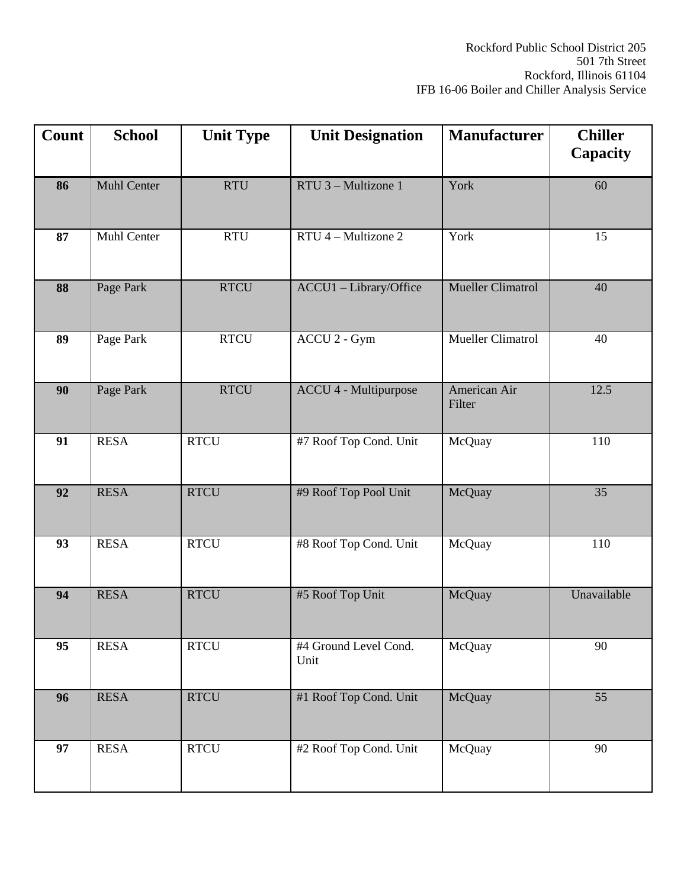| Count           | <b>School</b>      | <b>Unit Type</b> | <b>Unit Designation</b>                       | <b>Manufacturer</b>      | <b>Chiller</b><br>Capacity |
|-----------------|--------------------|------------------|-----------------------------------------------|--------------------------|----------------------------|
| 86              | <b>Muhl Center</b> | <b>RTU</b>       | RTU 3 - Multizone 1                           | York                     | 60                         |
| 87              | Muhl Center        | <b>RTU</b>       | $RTU$ <sup><math>4</math></sup> – Multizone 2 | York                     | 15                         |
| 88              | Page Park          | <b>RTCU</b>      | ACCU1 - Library/Office                        | <b>Mueller Climatrol</b> | 40                         |
| 89              | Page Park          | <b>RTCU</b>      | ACCU 2 - Gym                                  | Mueller Climatrol        | 40                         |
| 90              | Page Park          | <b>RTCU</b>      | <b>ACCU 4 - Multipurpose</b>                  | American Air<br>Filter   | 12.5                       |
| 91              | <b>RESA</b>        | <b>RTCU</b>      | #7 Roof Top Cond. Unit                        | McQuay                   | 110                        |
| $\overline{92}$ | <b>RESA</b>        | <b>RTCU</b>      | #9 Roof Top Pool Unit                         | McQuay                   | $\overline{35}$            |
| 93              | <b>RESA</b>        | <b>RTCU</b>      | #8 Roof Top Cond. Unit                        | McQuay                   | 110                        |
| 94              | <b>RESA</b>        | <b>RTCU</b>      | #5 Roof Top Unit                              | McQuay                   | Unavailable                |
| 95              | <b>RESA</b>        | <b>RTCU</b>      | #4 Ground Level Cond.<br>Unit                 | McQuay                   | 90                         |
| 96              | <b>RESA</b>        | <b>RTCU</b>      | #1 Roof Top Cond. Unit                        | McQuay                   | 55                         |
| 97              | <b>RESA</b>        | <b>RTCU</b>      | #2 Roof Top Cond. Unit                        | McQuay                   | 90                         |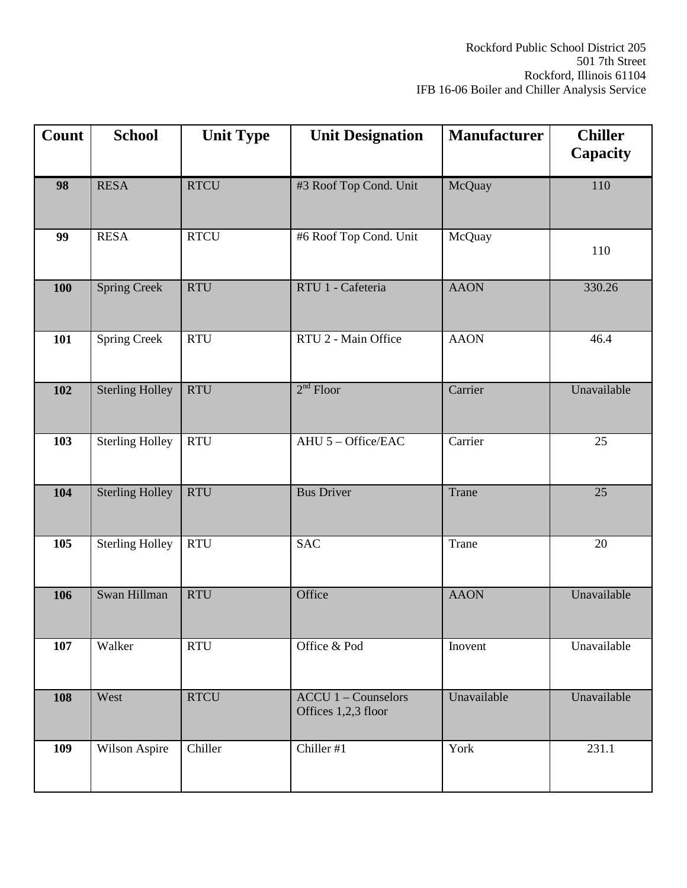| Count      | <b>School</b>          | <b>Unit Type</b> | <b>Unit Designation</b>                             | <b>Manufacturer</b> | <b>Chiller</b><br>Capacity |
|------------|------------------------|------------------|-----------------------------------------------------|---------------------|----------------------------|
| 98         | <b>RESA</b>            | <b>RTCU</b>      | #3 Roof Top Cond. Unit                              | McQuay              | 110                        |
| 99         | <b>RESA</b>            | <b>RTCU</b>      | #6 Roof Top Cond. Unit                              | McQuay              | 110                        |
| <b>100</b> | <b>Spring Creek</b>    | <b>RTU</b>       | RTU 1 - Cafeteria                                   | <b>AAON</b>         | 330.26                     |
| 101        | <b>Spring Creek</b>    | <b>RTU</b>       | RTU 2 - Main Office                                 | <b>AAON</b>         | 46.4                       |
| 102        | <b>Sterling Holley</b> | <b>RTU</b>       | $2nd$ Floor                                         | Carrier             | Unavailable                |
| 103        | <b>Sterling Holley</b> | <b>RTU</b>       | AHU 5 - Office/EAC                                  | Carrier             | $\overline{25}$            |
| 104        | <b>Sterling Holley</b> | <b>RTU</b>       | <b>Bus Driver</b>                                   | Trane               | 25                         |
| 105        | <b>Sterling Holley</b> | <b>RTU</b>       | <b>SAC</b>                                          | Trane               | 20                         |
| 106        | Swan Hillman           | <b>RTU</b>       | Office                                              | <b>AAON</b>         | Unavailable                |
| 107        | Walker                 | <b>RTU</b>       | Office & Pod                                        | Inovent             | Unavailable                |
| 108        | West                   | <b>RTCU</b>      | $ACCU 1 - \text{Counselors}$<br>Offices 1,2,3 floor | Unavailable         | Unavailable                |
| 109        | Wilson Aspire          | Chiller          | Chiller #1                                          | York                | 231.1                      |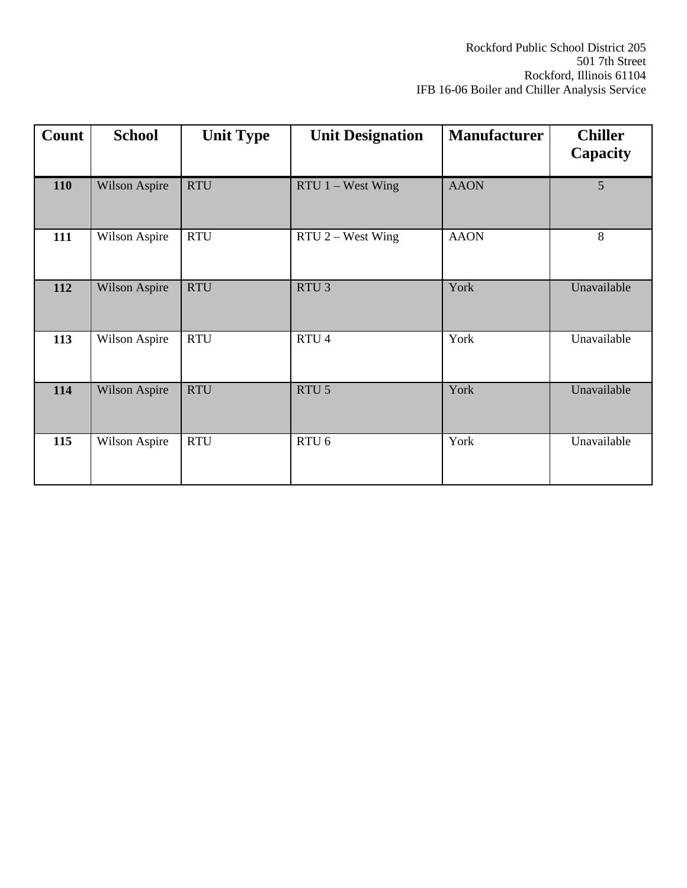| Count | <b>School</b> | <b>Unit Type</b> | <b>Unit Designation</b> | <b>Manufacturer</b> | <b>Chiller</b><br>Capacity |
|-------|---------------|------------------|-------------------------|---------------------|----------------------------|
| 110   | Wilson Aspire | <b>RTU</b>       | $RTU$ 1 – West Wing     | <b>AAON</b>         | $\overline{5}$             |
| 111   | Wilson Aspire | <b>RTU</b>       | $RTU$ 2 – West Wing     | <b>AAON</b>         | 8                          |
| 112   | Wilson Aspire | <b>RTU</b>       | RTU <sub>3</sub>        | York                | Unavailable                |
| 113   | Wilson Aspire | <b>RTU</b>       | RTU <sub>4</sub>        | York                | Unavailable                |
| 114   | Wilson Aspire | <b>RTU</b>       | RTU <sub>5</sub>        | York                | Unavailable                |
| 115   | Wilson Aspire | <b>RTU</b>       | RTU <sub>6</sub>        | York                | Unavailable                |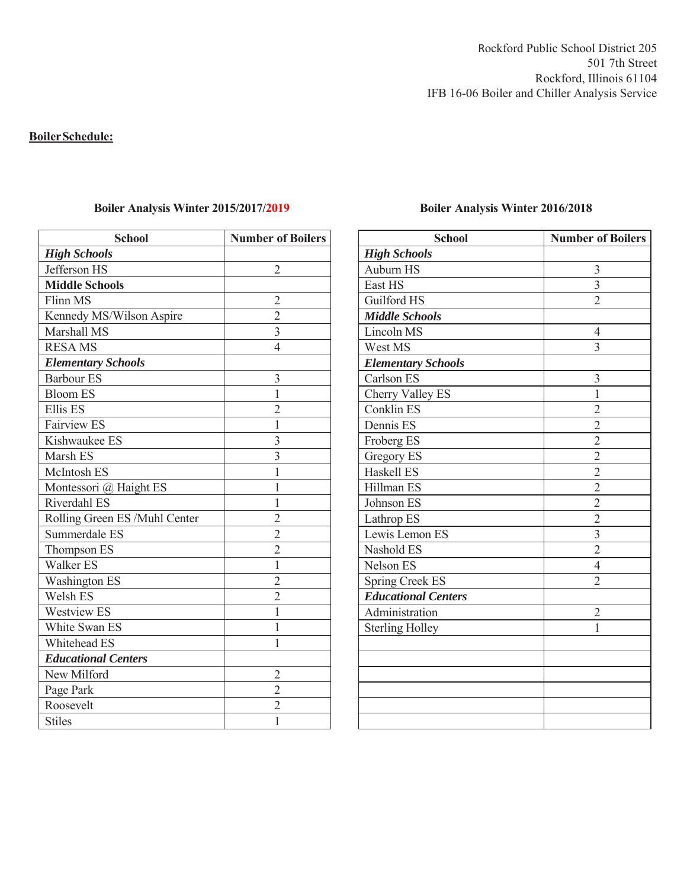Rockford Public School District 205 501 7th Street Rockford, Illinois 61104 IFB 16-06 Boiler and Chiller Analysis Service

### **Boiler Schedule:**

| <b>Number of Boilers</b> |  |  |
|--------------------------|--|--|
|                          |  |  |
| $\overline{2}$           |  |  |
|                          |  |  |
| $\overline{2}$           |  |  |
| $\overline{2}$           |  |  |
| $\overline{3}$           |  |  |
| $\overline{4}$           |  |  |
|                          |  |  |
| 3                        |  |  |
| $\overline{1}$           |  |  |
| $\overline{2}$           |  |  |
| $\overline{1}$           |  |  |
| 3                        |  |  |
| $\overline{3}$           |  |  |
| $\overline{1}$           |  |  |
| $\overline{1}$           |  |  |
| $\overline{1}$           |  |  |
| $\overline{2}$           |  |  |
| $\overline{2}$           |  |  |
| $\overline{2}$           |  |  |
| $\overline{1}$           |  |  |
| $\overline{2}$           |  |  |
| $\overline{2}$           |  |  |
| $\overline{1}$           |  |  |
| $\mathbf 1$              |  |  |
| 1                        |  |  |
|                          |  |  |
| $\overline{c}$           |  |  |
| $\overline{2}$           |  |  |
| $\overline{2}$           |  |  |
| $\overline{1}$           |  |  |
|                          |  |  |

### Boiler Analysis Winter 2015/2017/2019<br>Boiler Analysis Winter 2016/2018

| <b>School</b>              | <b>Number of Boilers</b> |
|----------------------------|--------------------------|
| <b>High Schools</b>        |                          |
| Auburn HS                  | 3                        |
| East HS                    | $\overline{\mathbf{3}}$  |
| Guilford HS                | $\overline{2}$           |
| <b>Middle Schools</b>      |                          |
| Lincoln MS                 | $\overline{4}$           |
| West MS                    | 3                        |
| <b>Elementary Schools</b>  |                          |
| Carlson ES                 | 3                        |
| Cherry Valley ES           | $\mathbf{1}$             |
| Conklin ES                 | 2                        |
| Dennis ES                  | $\overline{2}$           |
| Froberg ES                 | $\overline{2}$           |
| Gregory ES                 | $\overline{2}$           |
| Haskell ES                 | $\overline{c}$           |
| Hillman ES                 | $\overline{2}$           |
| Johnson ES                 | $\overline{2}$           |
| Lathrop ES                 | $\overline{c}$           |
| Lewis Lemon ES             | $\overline{\mathbf{3}}$  |
| Nashold ES                 | $\overline{2}$           |
| Nelson ES                  | $\overline{4}$           |
| <b>Spring Creek ES</b>     | $\overline{2}$           |
| <b>Educational Centers</b> |                          |
| Administration             | $\overline{2}$           |
| <b>Sterling Holley</b>     | 1                        |
|                            |                          |
|                            |                          |
|                            |                          |
|                            |                          |
|                            |                          |
|                            |                          |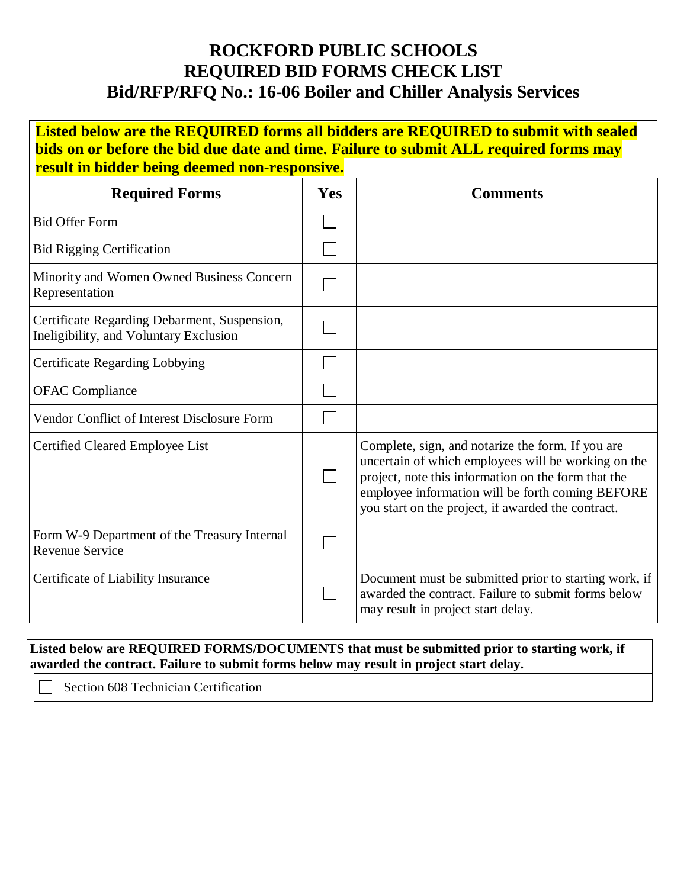### **ROCKFORD PUBLIC SCHOOLS REQUIRED BID FORMS CHECK LIST Bid/RFP/RFQ No.: 16-06 Boiler and Chiller Analysis Services**

**Listed below are the REQUIRED forms all bidders are REQUIRED to submit with sealed bids on or before the bid due date and time. Failure to submit ALL required forms may result in bidder being deemed non-responsive.**

| <b>Required Forms</b>                                                                  | Yes | <b>Comments</b>                                                                                                                                                                                                                                                           |
|----------------------------------------------------------------------------------------|-----|---------------------------------------------------------------------------------------------------------------------------------------------------------------------------------------------------------------------------------------------------------------------------|
| <b>Bid Offer Form</b>                                                                  |     |                                                                                                                                                                                                                                                                           |
| <b>Bid Rigging Certification</b>                                                       |     |                                                                                                                                                                                                                                                                           |
| Minority and Women Owned Business Concern<br>Representation                            |     |                                                                                                                                                                                                                                                                           |
| Certificate Regarding Debarment, Suspension,<br>Ineligibility, and Voluntary Exclusion |     |                                                                                                                                                                                                                                                                           |
| Certificate Regarding Lobbying                                                         |     |                                                                                                                                                                                                                                                                           |
| <b>OFAC Compliance</b>                                                                 |     |                                                                                                                                                                                                                                                                           |
| Vendor Conflict of Interest Disclosure Form                                            |     |                                                                                                                                                                                                                                                                           |
| Certified Cleared Employee List                                                        |     | Complete, sign, and notarize the form. If you are<br>uncertain of which employees will be working on the<br>project, note this information on the form that the<br>employee information will be forth coming BEFORE<br>you start on the project, if awarded the contract. |
| Form W-9 Department of the Treasury Internal<br><b>Revenue Service</b>                 |     |                                                                                                                                                                                                                                                                           |
| Certificate of Liability Insurance                                                     |     | Document must be submitted prior to starting work, if<br>awarded the contract. Failure to submit forms below<br>may result in project start delay.                                                                                                                        |

### **Listed below are REQUIRED FORMS/DOCUMENTS that must be submitted prior to starting work, if awarded the contract. Failure to submit forms below may result in project start delay.**

|                                                                                     | --- |  |
|-------------------------------------------------------------------------------------|-----|--|
| $\mathbf{r}$<br>$\sim$<br>608<br>`ert11<br>Fechnician<br>111cat10n<br>ser<br>211O L |     |  |